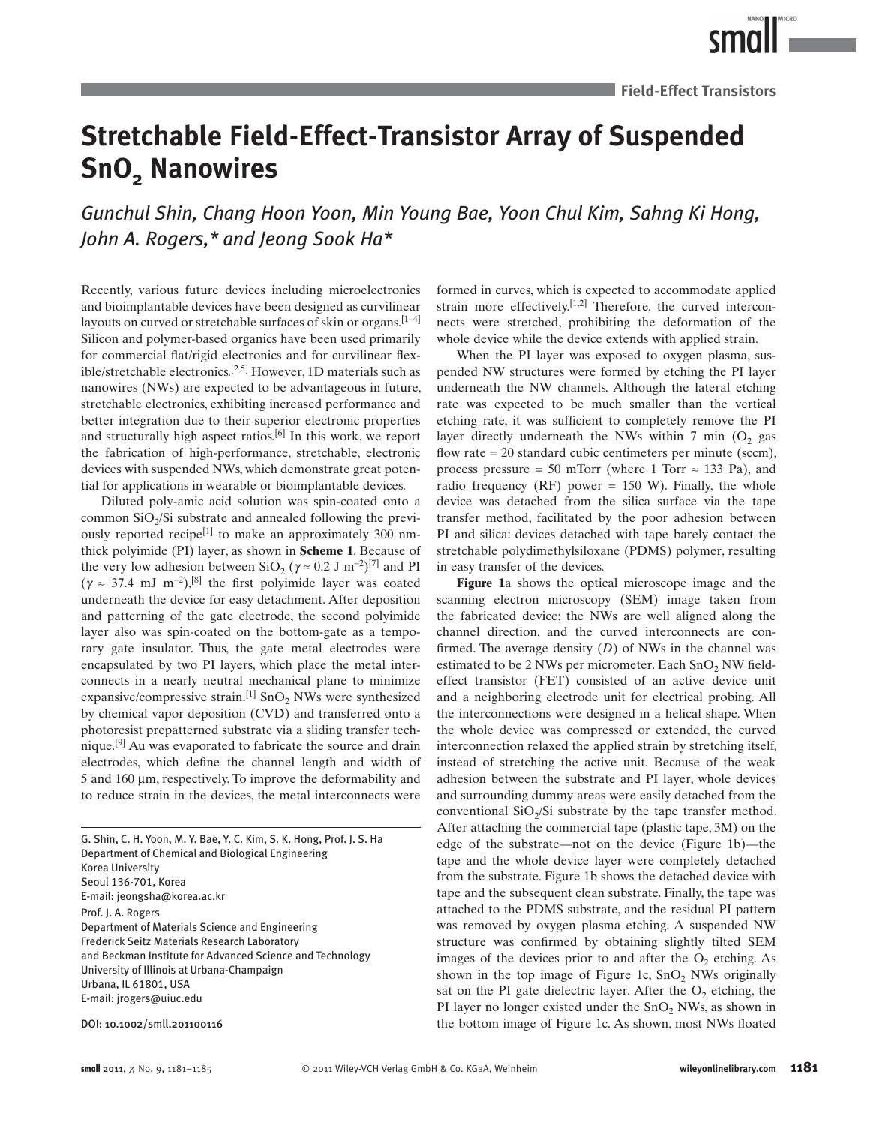# **Stretchable Field-Effect-Transistor Array of Suspended SnO<sub>2</sub>** Nanowires

Gunchul Shin, Chang Hoon Yoon, Min Young Bae, Yoon Chul Kim, Sahng Ki Hong,  *John A. Rogers , \* and Jeong Sook Ha \** 

 Recently, various future devices including microelectronics and bioimplantable devices have been designed as curvilinear layouts on curved or stretchable surfaces of skin or organs.  $[1-4]$ Silicon and polymer-based organics have been used primarily for commercial flat/rigid electronics and for curvilinear flexible/stretchable electronics.<sup>[2,5]</sup> However, 1D materials such as nanowires (NWs) are expected to be advantageous in future, stretchable electronics, exhibiting increased performance and better integration due to their superior electronic properties and structurally high aspect ratios.<sup>[6]</sup> In this work, we report the fabrication of high-performance, stretchable, electronic devices with suspended NWs, which demonstrate great potential for applications in wearable or bioimplantable devices.

 Diluted poly-amic acid solution was spin-coated onto a common  $SiO<sub>2</sub>/Si$  substrate and annealed following the previously reported recipe<sup>[1]</sup> to make an approximately 300 nmthick polyimide (PI) layer, as shown in **Scheme 1**. Because of the very low adhesion between SiO<sub>2</sub> ( $\gamma \approx 0.2$  J m<sup>-2</sup>)<sup>[7]</sup> and PI  $(\gamma \approx 37.4 \text{ mJ m}^{-2})$ ,<sup>[8]</sup> the first polyimide layer was coated underneath the device for easy detachment. After deposition and patterning of the gate electrode, the second polyimide layer also was spin-coated on the bottom-gate as a temporary gate insulator. Thus, the gate metal electrodes were encapsulated by two PI layers, which place the metal interconnects in a nearly neutral mechanical plane to minimize expansive/compressive strain.<sup>[1]</sup> SnO<sub>2</sub> NWs were synthesized by chemical vapor deposition (CVD) and transferred onto a photoresist prepatterned substrate via a sliding transfer technique.<sup>[9]</sup> Au was evaporated to fabricate the source and drain electrodes, which define the channel length and width of 5 and 160 μm, respectively. To improve the deformability and to reduce strain in the devices, the metal interconnects were

G. Shin, C. H. Yoon, M. Y. Bae, Y. C. Kim, S. K. Hong, Prof. J. S. Ha Department of Chemical and Biological Engineering Korea University Seoul 136-701, Korea E-mail: jeongsha@korea.ac.kr Prof. J. A. Rogers Department of Materials Science and Engineering Frederick Seitz Materials Research Laboratory and Beckman Institute for Advanced Science and Technology University of Illinois at Urbana-Champaign Urbana, IL 61801, USA E-mail: jrogers@uiuc.edu

DOI: 10.1002/smll.201100116

formed in curves, which is expected to accommodate applied strain more effectively.<sup>[1,2]</sup> Therefore, the curved interconnects were stretched, prohibiting the deformation of the whole device while the device extends with applied strain.

 When the PI layer was exposed to oxygen plasma, suspended NW structures were formed by etching the PI layer underneath the NW channels. Although the lateral etching rate was expected to be much smaller than the vertical etching rate, it was sufficient to completely remove the PI layer directly underneath the NWs within 7 min  $(O_2)$  gas flow rate  $= 20$  standard cubic centimeters per minute (sccm), process pressure = 50 mTorr (where 1 Torr  $\approx$  133 Pa), and radio frequency (RF) power =  $150$  W). Finally, the whole device was detached from the silica surface via the tape transfer method, facilitated by the poor adhesion between PI and silica: devices detached with tape barely contact the stretchable polydimethylsiloxane (PDMS) polymer, resulting in easy transfer of the devices.

Figure 1a shows the optical microscope image and the scanning electron microscopy (SEM) image taken from the fabricated device; the NWs are well aligned along the channel direction, and the curved interconnects are confirmed. The average density  $(D)$  of NWs in the channel was estimated to be 2 NWs per micrometer. Each  $SnO<sub>2</sub>$  NW fieldeffect transistor (FET) consisted of an active device unit and a neighboring electrode unit for electrical probing. All the interconnections were designed in a helical shape. When the whole device was compressed or extended, the curved interconnection relaxed the applied strain by stretching itself, instead of stretching the active unit. Because of the weak adhesion between the substrate and PI layer, whole devices and surrounding dummy areas were easily detached from the conventional  $SiO<sub>2</sub>/Si$  substrate by the tape transfer method. After attaching the commercial tape (plastic tape, 3M) on the edge of the substrate—not on the device (Figure 1b)—the tape and the whole device layer were completely detached from the substrate. Figure 1b shows the detached device with tape and the subsequent clean substrate. Finally, the tape was attached to the PDMS substrate, and the residual PI pattern was removed by oxygen plasma etching. A suspended NW structure was confirmed by obtaining slightly tilted SEM images of the devices prior to and after the  $O<sub>2</sub>$  etching. As shown in the top image of Figure 1c,  $SnO<sub>2</sub>$  NWs originally sat on the PI gate dielectric layer. After the  $O_2$  etching, the PI layer no longer existed under the  $SnO<sub>2</sub>$  NWs, as shown in the bottom image of Figure 1c. As shown, most NWs floated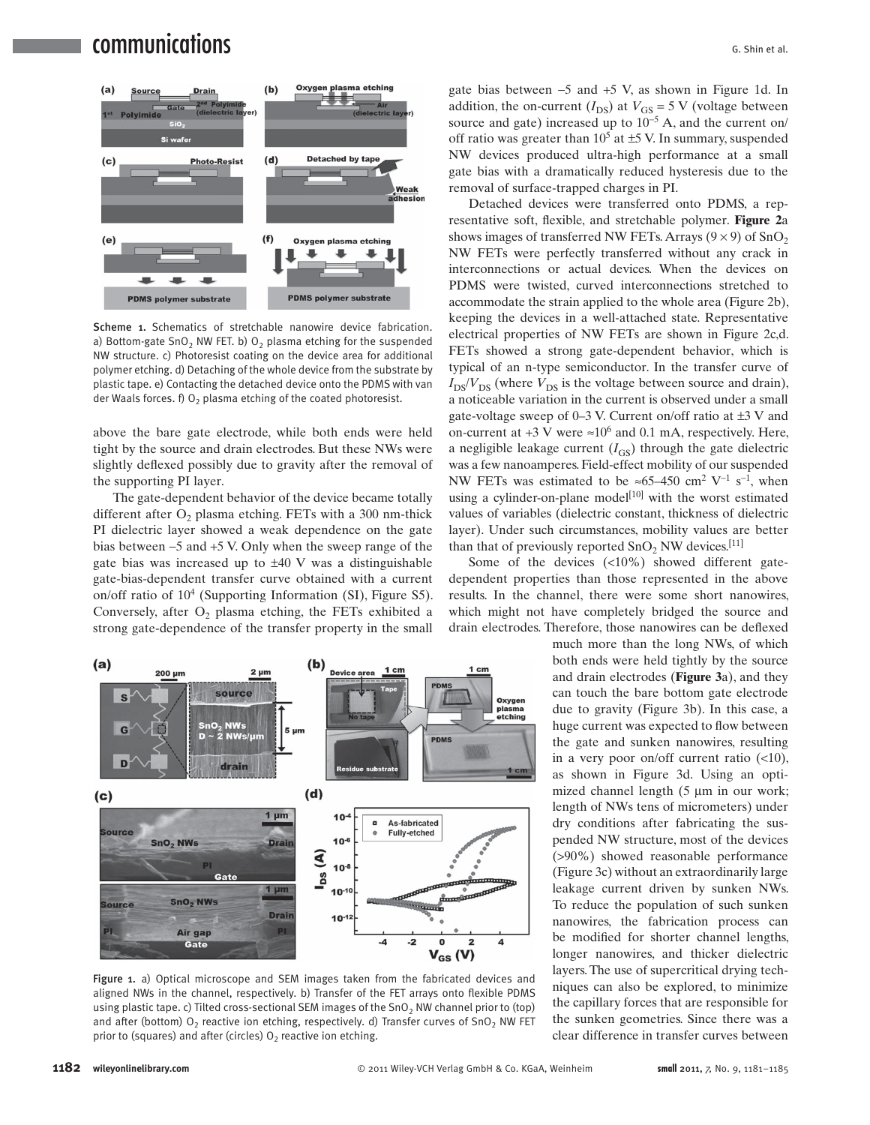## **communications** G. Shin et al.



Scheme 1. Schematics of stretchable nanowire device fabrication. a) Bottom-gate SnO<sub>2</sub> NW FET. b)  $O<sub>2</sub>$  plasma etching for the suspended NW structure. c) Photoresist coating on the device area for additional polymer etching. d) Detaching of the whole device from the substrate by plastic tape. e) Contacting the detached device onto the PDMS with van der Waals forces.  $f$ )  $O_2$  plasma etching of the coated photoresist.

above the bare gate electrode, while both ends were held tight by the source and drain electrodes. But these NWs were slightly deflexed possibly due to gravity after the removal of the supporting PI layer.

 The gate-dependent behavior of the device became totally different after  $O_2$  plasma etching. FETs with a 300 nm-thick PI dielectric layer showed a weak dependence on the gate bias between  $-5$  and  $+5$  V. Only when the sweep range of the gate bias was increased up to  $\pm 40$  V was a distinguishable gate-bias-dependent transfer curve obtained with a current on/off ratio of  $10<sup>4</sup>$  (Supporting Information (SI), Figure S5). Conversely, after  $O_2$  plasma etching, the FETs exhibited a strong gate-dependence of the transfer property in the small



Figure 1. a) Optical microscope and SEM images taken from the fabricated devices and aligned NWs in the channel, respectively. b) Transfer of the FET arrays onto flexible PDMS using plastic tape. c) Tilted cross-sectional SEM images of the  $SnO<sub>2</sub>$  NW channel prior to (top) and after (bottom)  $O_2$  reactive ion etching, respectively. d) Transfer curves of SnO<sub>2</sub> NW FET prior to (squares) and after (circles)  $0<sub>2</sub>$  reactive ion etching.

gate bias between  $-5$  and  $+5$  V, as shown in Figure 1d. In addition, the on-current  $(I_{DS})$  at  $V_{GS} = 5$  V (voltage between source and gate) increased up to  $10^{-5}$  A, and the current on/ off ratio was greater than  $10^5$  at  $\pm$ 5 V. In summary, suspended NW devices produced ultra-high performance at a small gate bias with a dramatically reduced hysteresis due to the removal of surface-trapped charges in PI.

 Detached devices were transferred onto PDMS, a representative soft, flexible, and stretchable polymer. **Figure 2a** shows images of transferred NW FETs. Arrays  $(9 \times 9)$  of SnO, NW FETs were perfectly transferred without any crack in interconnections or actual devices. When the devices on PDMS were twisted, curved interconnections stretched to accommodate the strain applied to the whole area (Figure 2b), keeping the devices in a well-attached state. Representative electrical properties of NW FETs are shown in Figure 2c,d. FETs showed a strong gate-dependent behavior, which is typical of an n-type semiconductor. In the transfer curve of  $I_{DS}/V_{DS}$  (where  $V_{DS}$  is the voltage between source and drain), a noticeable variation in the current is observed under a small gate-voltage sweep of  $0-3$  V. Current on/off ratio at  $\pm 3$  V and on-current at  $+3$  V were  $\approx 10^6$  and 0.1 mA, respectively. Here, a negligible leakage current  $(I_{GS})$  through the gate dielectric was a few nanoamperes. Field-effect mobility of our suspended NW FETs was estimated to be  $\approx 65-450$  cm<sup>2</sup> V<sup>-1</sup> s<sup>-1</sup>, when using a cylinder-on-plane model<sup>[10]</sup> with the worst estimated values of variables (dielectric constant, thickness of dielectric layer). Under such circumstances, mobility values are better than that of previously reported  $SnO<sub>2</sub> NW$  devices. <sup>[11]</sup>

Some of the devices  $(\langle 10\% \rangle)$  showed different gatedependent properties than those represented in the above results. In the channel, there were some short nanowires, which might not have completely bridged the source and drain electrodes. Therefore, those nanowires can be deflexed

> much more than the long NWs, of which both ends were held tightly by the source and drain electrodes (Figure 3a), and they can touch the bare bottom gate electrode due to gravity (Figure 3b). In this case, a huge current was expected to flow between the gate and sunken nanowires, resulting in a very poor on/off current ratio  $(\leq 10)$ , as shown in Figure 3d. Using an optimized channel length  $(5 \mu m)$  in our work; length of NWs tens of micrometers) under dry conditions after fabricating the suspended NW structure, most of the devices (>90%) showed reasonable performance (Figure 3c) without an extraordinarily large leakage current driven by sunken NWs. To reduce the population of such sunken nanowires, the fabrication process can be modified for shorter channel lengths, longer nanowires, and thicker dielectric layers. The use of supercritical drying techniques can also be explored, to minimize the capillary forces that are responsible for the sunken geometries. Since there was a clear difference in transfer curves between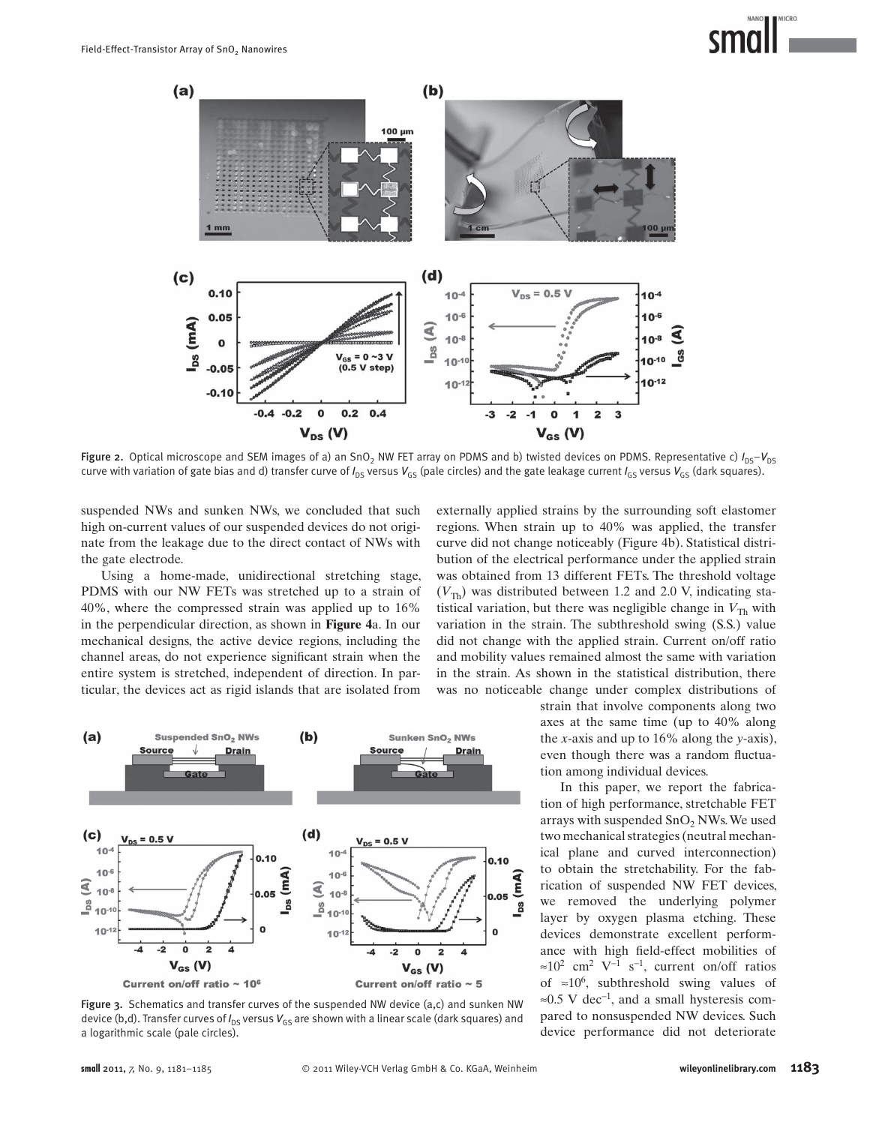

Figure 2. Optical microscope and SEM images of a) an SnO<sub>2</sub> NW FET array on PDMS and b) twisted devices on PDMS. Representative c)  $I_{DS} - V_{DS}$ curve with variation of gate bias and d) transfer curve of  $I_{DS}$  versus  $V_{GS}$  (pale circles) and the gate leakage current  $I_{GS}$  versus  $V_{GS}$  (dark squares).

suspended NWs and sunken NWs, we concluded that such high on-current values of our suspended devices do not originate from the leakage due to the direct contact of NWs with the gate electrode.

 Using a home-made, unidirectional stretching stage, PDMS with our NW FETs was stretched up to a strain of 40%, where the compressed strain was applied up to 16% in the perpendicular direction, as shown in **Figure 4**a. In our mechanical designs, the active device regions, including the channel areas, do not experience significant strain when the entire system is stretched, independent of direction. In particular, the devices act as rigid islands that are isolated from



strain that involve components along two axes at the same time (up to 40% along the *x* -axis and up to 16% along the *y* -axis), even though there was a random fluctuation among individual devices.

 In this paper, we report the fabrication of high performance, stretchable FET arrays with suspended SnO<sub>2</sub> NWs. We used two mechanical strategies (neutral mechanical plane and curved interconnection) to obtain the stretchability. For the fabrication of suspended NW FET devices, we removed the underlying polymer layer by oxygen plasma etching. These devices demonstrate excellent performance with high field-effect mobilities of  $\approx 10^2$  cm<sup>2</sup> V<sup>-1</sup> s<sup>-1</sup>, current on/off ratios of  $\approx 10^6$ , subthreshold swing values of ≈0.5 V dec<sup>-1</sup>, and a small hysteresis compared to nonsuspended NW devices. Such device performance did not deteriorate



Figure 3. Schematics and transfer curves of the suspended NW device  $(a, c)$  and sunken NW device (b,d). Transfer curves of  $I_{DS}$  versus  $V_{GS}$  are shown with a linear scale (dark squares) and a logarithmic scale (pale circles).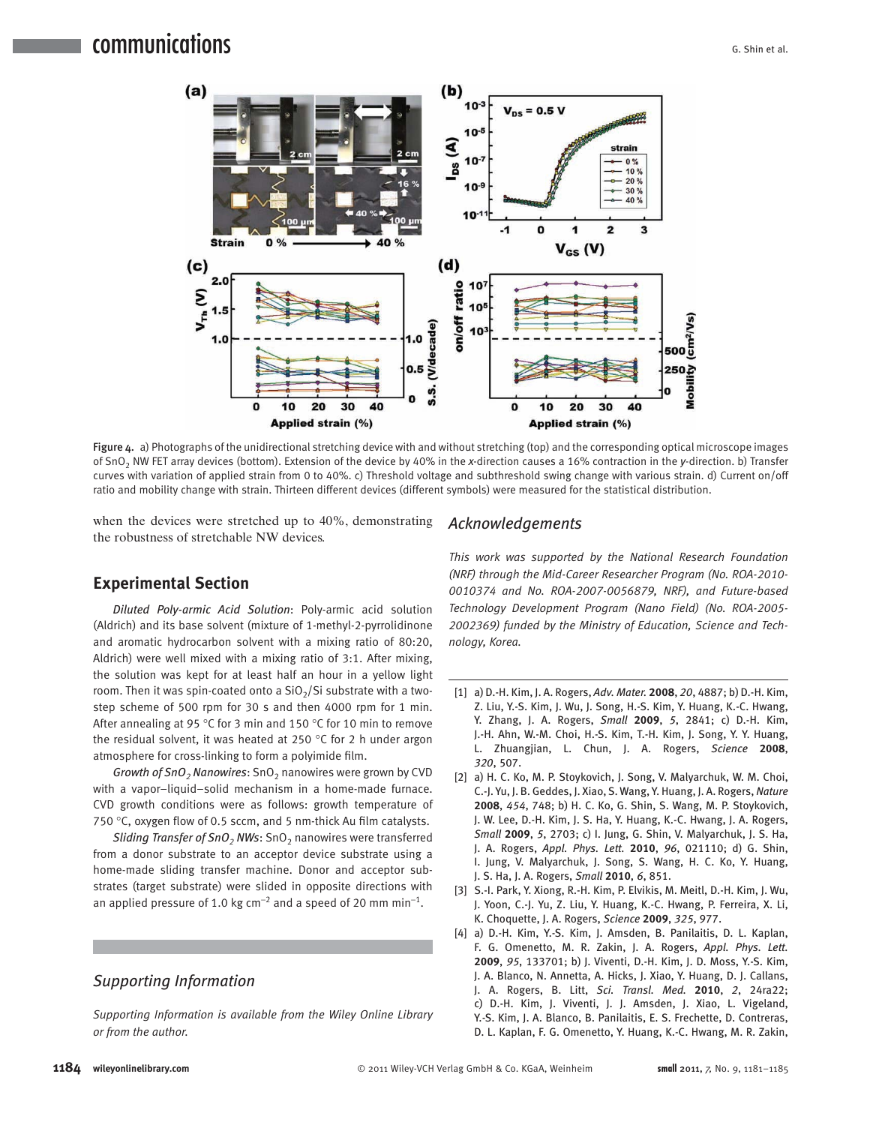### ${\bf commu}$ nications  ${\bf G}$



Figure 4. a) Photographs of the unidirectional stretching device with and without stretching (top) and the corresponding optical microscope images of SnO 2 NW FET array devices (bottom). Extension of the device by 40% in the *x* -direction causes a 16% contraction in the *y* -direction. b) Transfer curves with variation of applied strain from 0 to 40%. c) Threshold voltage and subthreshold swing change with various strain. d) Current on/off ratio and mobility change with strain. Thirteen different devices (different symbols) were measured for the statistical distribution.

when the devices were stretched up to 40%, demonstrating the robustness of stretchable NW devices.

#### **Experimental Section**

*Diluted Poly-armic Acid Solution* : Poly-armic acid solution (Aldrich) and its base solvent (mixture of 1-methyl-2-pyrrolidinone and aromatic hydrocarbon solvent with a mixing ratio of 80:20, Aldrich) were well mixed with a mixing ratio of 3:1. After mixing, the solution was kept for at least half an hour in a yellow light room. Then it was spin-coated onto a  $SiO<sub>2</sub>/Si$  substrate with a twostep scheme of 500 rpm for 30 s and then 4000 rpm for 1 min. After annealing at 95 °C for 3 min and 150 °C for 10 min to remove the residual solvent, it was heated at 250  $\degree$ C for 2 h under argon atmosphere for cross-linking to form a polyimide film.

*Growth of SnO<sub>2</sub>* Nanowires: SnO<sub>2</sub> nanowires were grown by CVD with a vapor–liquid–solid mechanism in a home-made furnace. CVD growth conditions were as follows: growth temperature of 750 °C, oxygen flow of 0.5 sccm, and 5 nm-thick Au film catalysts.

*Sliding Transfer of SnO<sub>2</sub></sub> NWs: SnO<sub>2</sub> nanowires were transferred* from a donor substrate to an acceptor device substrate using a home-made sliding transfer machine. Donor and acceptor substrates (target substrate) were slided in opposite directions with an applied pressure of 1.0 kg cm<sup>-2</sup> and a speed of 20 mm min<sup>-1</sup>.

#### *Supporting Information*

 *Supporting Information is available from the Wiley Online Library or from the author.* 

#### *Acknowledgements*

 *This work was supported by the National Research Foundation (NRF) through the Mid-Career Researcher Program (No. ROA-2010- 0010374 and No. ROA-2007-0056879, NRF), and Future-based Technology Development Program (Nano Field) (No. ROA-2005- 2002369) funded by the Ministry of Education, Science and Technology, Korea.* 

- [ 1 ] a) D.-H. Kim , J. A. Rogers , *Adv. Mater.* **2008** , *20* , 4887 ; b) D.-H. Kim , Z. Liu, Y.-S. Kim, J. Wu, J. Song, H.-S. Kim, Y. Huang, K.-C. Hwang, Y. Zhang, J. A. Rogers, *Small* **2009**, 5, 2841; c) D.-H. Kim, J.-H. Ahn, W.-M. Choi, H.-S. Kim, T.-H. Kim, J. Song, Y. Y. Huang, L. Zhuangjian, L. Chun, J. A. Rogers, Science 2008, *320* , 507 .
- [2] a) H. C. Ko, M. P. Stoykovich, J. Song, V. Malyarchuk, W. M. Choi, C.-J. Yu, J. B. Geddes, J. Xiao, S. Wang, Y. Huang, J. A. Rogers, Nature 2008, 454, 748; b) H. C. Ko, G. Shin, S. Wang, M. P. Stoykovich, J. W. Lee, D.-H. Kim, J. S. Ha, Y. Huang, K.-C. Hwang, J. A. Rogers, *Small* 2009, 5, 2703; c) I. Jung, G. Shin, V. Malyarchuk, J. S. Ha, J. A. Rogers, Appl. Phys. Lett. 2010, 96, 021110; d) G. Shin, I. Jung, V. Malyarchuk, J. Song, S. Wang, H. C. Ko, Y. Huang, J. S. Ha , J. A. Rogers , *Small* **2010** , *6* , 851 .
- [3] S.-I. Park, Y. Xiong, R.-H. Kim, P. Elvikis, M. Meitl, D.-H. Kim, J. Wu, J. Yoon, C.-J. Yu, Z. Liu, Y. Huang, K.-C. Hwang, P. Ferreira, X. Li, K. Choquette , J. A. Rogers , *Science* **2009** , *325* , 977 .
- [4] a) D.-H. Kim, Y.-S. Kim, J. Amsden, B. Panilaitis, D. L. Kaplan, F. G. Omenetto, M. R. Zakin, J. A. Rogers, Appl. Phys. Lett. 2009, 95, 133701; b) J. Viventi, D.-H. Kim, J. D. Moss, Y.-S. Kim, J. A. Blanco, N. Annetta, A. Hicks, J. Xiao, Y. Huang, D. J. Callans, J. A. Rogers, B. Litt, *Sci. Transl. Med.* **2010**, 2, 24ra22; c) D.-H. Kim, J. Viventi, J. J. Amsden, J. Xiao, L. Vigeland, Y.-S. Kim, J. A. Blanco, B. Panilaitis, E. S. Frechette, D. Contreras, D. L. Kaplan, F. G. Omenetto, Y. Huang, K.-C. Hwang, M. R. Zakin,